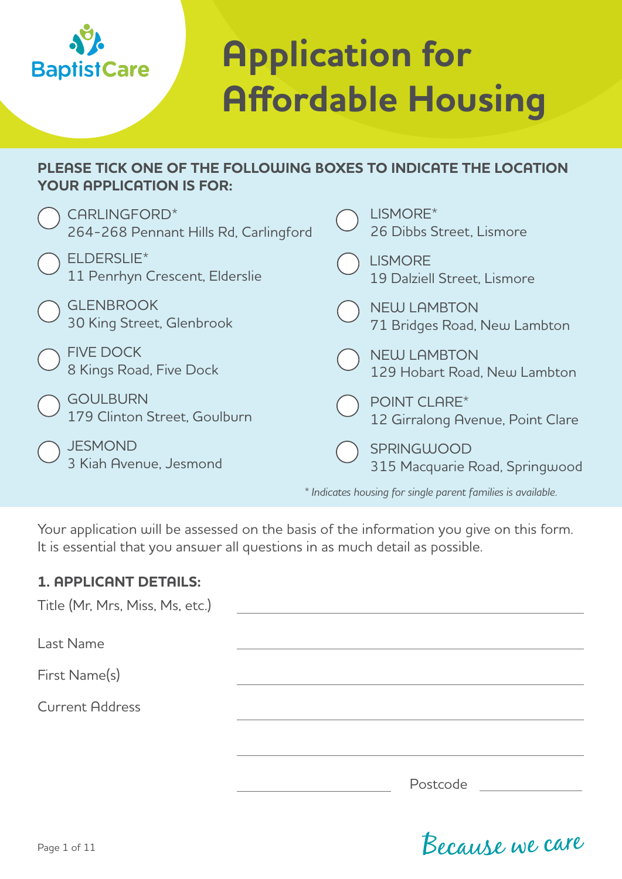

# **Application for Affordable Housing**

#### **PLEASE TICK ONE OF THE FOLLOWING BOXES TO INDICATE THE LOCATION YOUR APPLICATION IS FOR:**

| CARLINGFORD*<br>264-268 Pennant Hills Rd, Carlingford | LISMORE*<br>26 Dibbs Street, Lismore                         |
|-------------------------------------------------------|--------------------------------------------------------------|
| ELDERSLIE*<br>11 Penrhyn Crescent, Elderslie          | <b>LISMORE</b><br>19 Dalziell Street, Lismore                |
| <b>GLENBROOK</b><br>30 King Street, Glenbrook         | <b>NEW LAMBTON</b><br>71 Bridges Road, New Lambton           |
| <b>FIVE DOCK</b><br>8 Kings Road, Five Dock           | <b>NEW LAMBTON</b><br>129 Hobart Road, New Lambton           |
| <b>GOULBURN</b><br>179 Clinton Street, Goulburn       | POINT CLARE*<br>12 Girralong Avenue, Point Clare             |
| <b>JESMOND</b><br>3 Kiah Avenue, Jesmond              | <b>SPRINGWOOD</b><br>315 Macquarie Road, Springwood          |
|                                                       | * Indicates housing for single parent families is available. |

Your application will be assessed on the basis of the information you give on this form. It is essential that you answer all questions in as much detail as possible.

#### **1. APPLICANT DETAILS:**

| Title (Mr, Mrs, Miss, Ms, etc.) |          |
|---------------------------------|----------|
|                                 |          |
| Last Name                       |          |
| First Name(s)                   |          |
| <b>Current Address</b>          |          |
|                                 |          |
|                                 | Postcode |

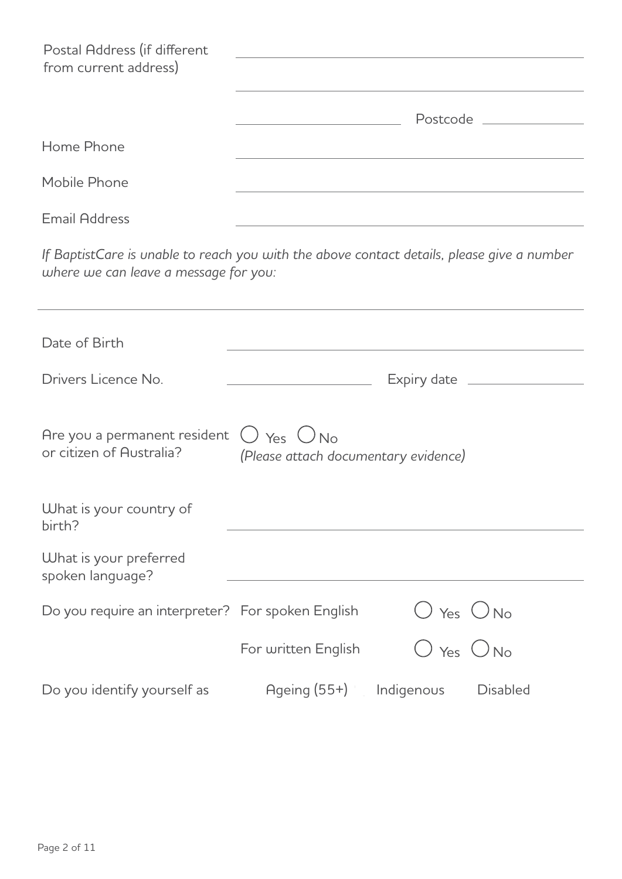| Postal Address (if different<br>from current address) |                   |
|-------------------------------------------------------|-------------------|
|                                                       | Postcode Postcode |
| Home Phone                                            |                   |
| Mobile Phone                                          |                   |
| <b>Email Address</b>                                  |                   |

*If BaptistCare is unable to reach you with the above contact details, please give a number where we can leave a message for you:* 

| Date of Birth                                                                         |                                      |                |                 |
|---------------------------------------------------------------------------------------|--------------------------------------|----------------|-----------------|
| Drivers Licence No.                                                                   |                                      |                |                 |
|                                                                                       |                                      |                |                 |
| Are you a permanent resident $\bigcirc$ Yes $\bigcirc$ No<br>or citizen of Australia? | (Please attach documentary evidence) |                |                 |
| What is your country of<br>birth?                                                     |                                      |                |                 |
| What is your preferred<br>spoken language?                                            |                                      |                |                 |
| Do you require an interpreter? For spoken English                                     |                                      | $O$ Yes $O$ No |                 |
|                                                                                       | For written English                  | O Yes ONo      |                 |
| Do you identify yourself as                                                           | $Aqe$ ing $(55+)$                    | Indigenous     | <b>Disabled</b> |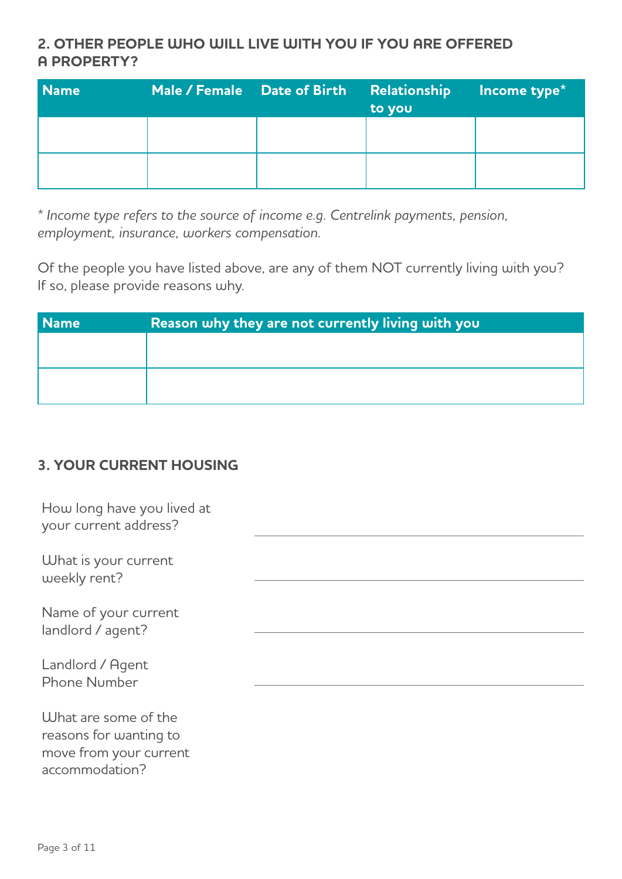# **2. OTHER PEOPLE WHO WILL LIVE WITH YOU IF YOU ARE OFFERED A PROPERTY?**

| <b>Name</b> | Male / Female Date of Birth Relationship Income type* | to you |  |
|-------------|-------------------------------------------------------|--------|--|
|             |                                                       |        |  |
|             |                                                       |        |  |

*\* Income type refers to the source of income e.g. Centrelink payments, pension, employment, insurance, workers compensation.*

Of the people you have listed above, are any of them NOT currently living with you? If so, please provide reasons why.

| Reason why they are not currently living with you |  |
|---------------------------------------------------|--|
|                                                   |  |
|                                                   |  |
|                                                   |  |
|                                                   |  |

# **3. YOUR CURRENT HOUSING**

| How long have you lived at<br>your current address?                      |  |
|--------------------------------------------------------------------------|--|
| What is your current<br>weekly rent?                                     |  |
| Name of your current<br>landlord / agent?                                |  |
| Landlord / Agent<br><b>Phone Number</b>                                  |  |
| What are some of the<br>reasons for wanting to<br>move from your current |  |

Page 3 of 11

accommodation?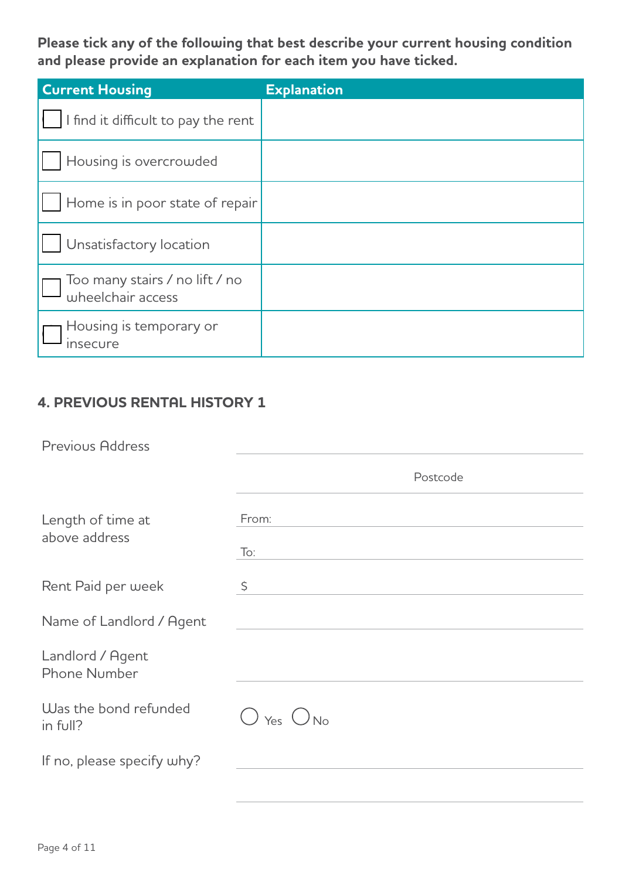**Please tick any of the following that best describe your current housing condition and please provide an explanation for each item you have ticked.**

| <b>Current Housing</b>                              | <b>Explanation</b> |
|-----------------------------------------------------|--------------------|
| I find it difficult to pay the rent                 |                    |
| Housing is overcrowded                              |                    |
| Home is in poor state of repair                     |                    |
| Unsatisfactory location                             |                    |
| Too many stairs / no lift / no<br>wheelchair access |                    |
| Housing is temporary or<br><b>Insecure</b>          |                    |

# **4. PREVIOUS RENTAL HISTORY 1**

| <b>Previous Address</b>                 |                             |
|-----------------------------------------|-----------------------------|
|                                         | Postcode                    |
| Length of time at<br>above address      | From:<br>$\overline{1}$ o:  |
| Rent Paid per week                      | $\varsigma$                 |
| Name of Landlord / Agent                |                             |
| Landlord / Agent<br><b>Phone Number</b> |                             |
| Was the bond refunded<br>in full?       | $\bigcup$ Yes $\bigcirc$ No |
| If no, please specify why?              |                             |
|                                         |                             |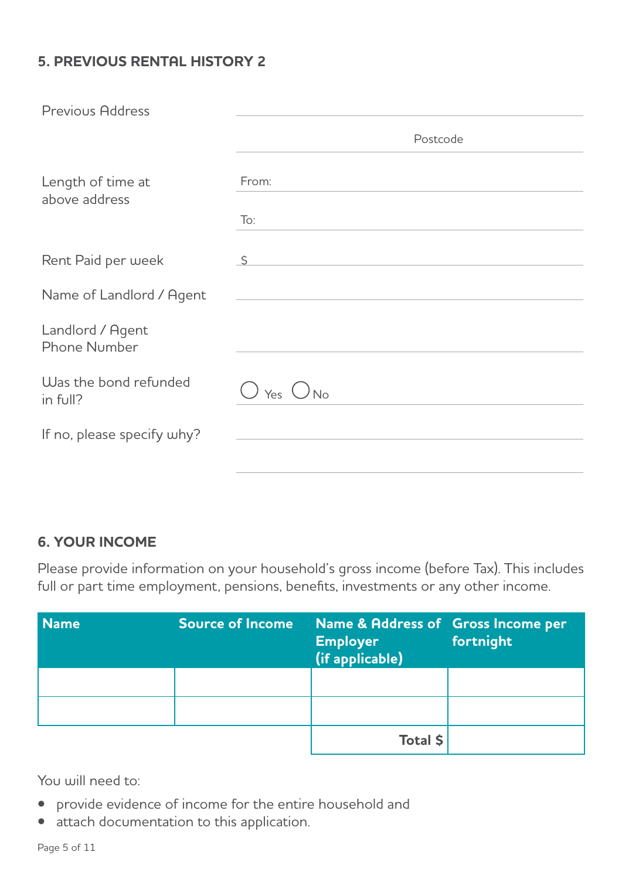# **5. PREVIOUS RENTAL HISTORY 2**

| <b>Previous Address</b>                 |                   |
|-----------------------------------------|-------------------|
|                                         | Postcode          |
| Length of time at<br>above address      | From:             |
|                                         | $\overline{1}$ o: |
| Rent Paid per week                      | S.                |
| Name of Landlord / Agent                |                   |
| Landlord / Agent<br><b>Phone Number</b> |                   |
| Was the bond refunded<br>in full?       | Yes $\bigcirc$ No |
| If no, please specify why?              |                   |
|                                         |                   |

## **6. YOUR INCOME**

Please provide information on your household's gross income (before Tax). This includes full or part time employment, pensions, benefits, investments or any other income.

| <b>Name</b> | <b>Source of Income</b> | Name & Address of Gross Income per<br><b>Employer</b><br>(if applicable) | fortnight |
|-------------|-------------------------|--------------------------------------------------------------------------|-----------|
|             |                         |                                                                          |           |
|             |                         |                                                                          |           |
|             |                         | Total \$                                                                 |           |

You will need to:

- provide evidence of income for the entire household and
- attach documentation to this application.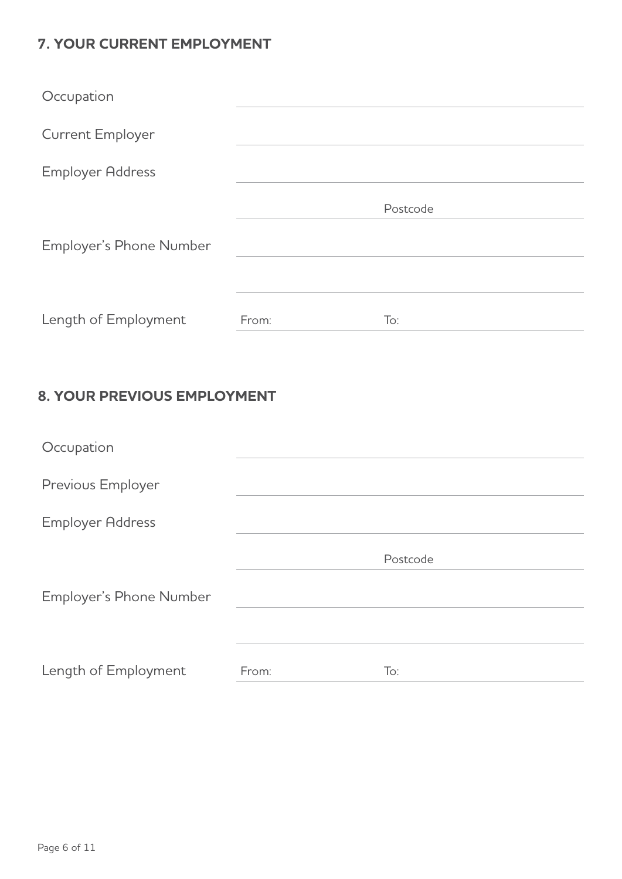# **7. YOUR CURRENT EMPLOYMENT**

| Occupation              |       |          |
|-------------------------|-------|----------|
| <b>Current Employer</b> |       |          |
| <b>Employer Address</b> |       |          |
|                         |       | Postcode |
| Employer's Phone Number |       |          |
|                         |       |          |
| Length of Employment    | From: | To:      |

# **8. YOUR PREVIOUS EMPLOYMENT**

| Occupation              |       |          |
|-------------------------|-------|----------|
| Previous Employer       |       |          |
| <b>Employer Address</b> |       |          |
|                         |       | Postcode |
| Employer's Phone Number |       |          |
|                         |       |          |
| Length of Employment    | From: | To:      |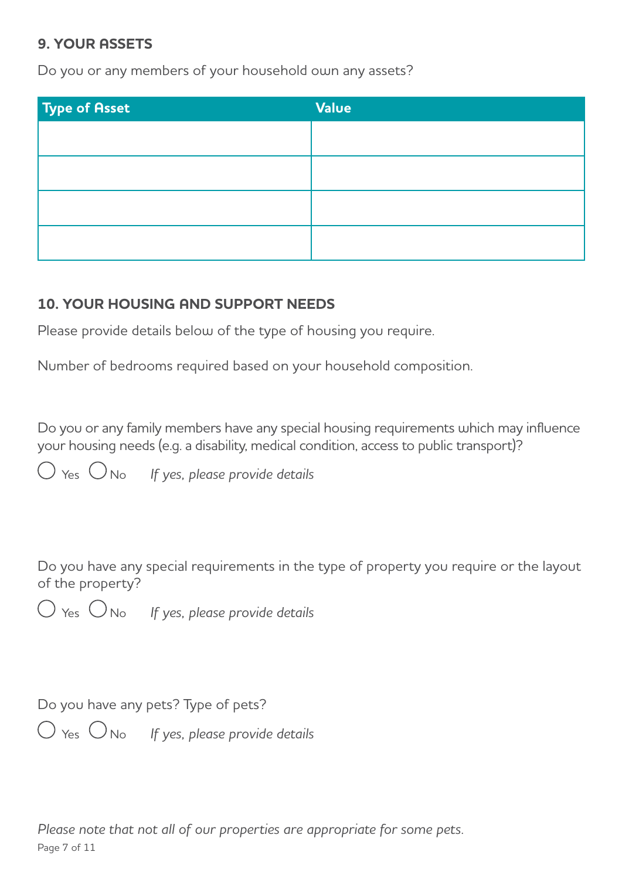#### **9. YOUR ASSETS**

Do you or any members of your household own any assets?

| <b>Type of Asset</b> | <b>Value</b> |
|----------------------|--------------|
|                      |              |
|                      |              |
|                      |              |
|                      |              |
|                      |              |

## **10. YOUR HOUSING AND SUPPORT NEEDS**

Please provide details below of the type of housing you require.

Number of bedrooms required based on your household composition.

Do you or any family members have any special housing requirements which may influence your housing needs (e.g. a disability, medical condition, access to public transport)?

 $\bigcirc$  Yes  $\bigcirc$  No If yes, please provide details

Do you have any special requirements in the type of property you require or the layout of the property?

 $\bigcirc$  Yes  $\bigcirc$  No If yes, please provide details

Do you have any pets? Type of pets?

 $\bigcirc$  Yes  $\bigcirc$  No If yes, please provide details

*Please note that not all of our properties are appropriate for some pets.* Page 7 of 11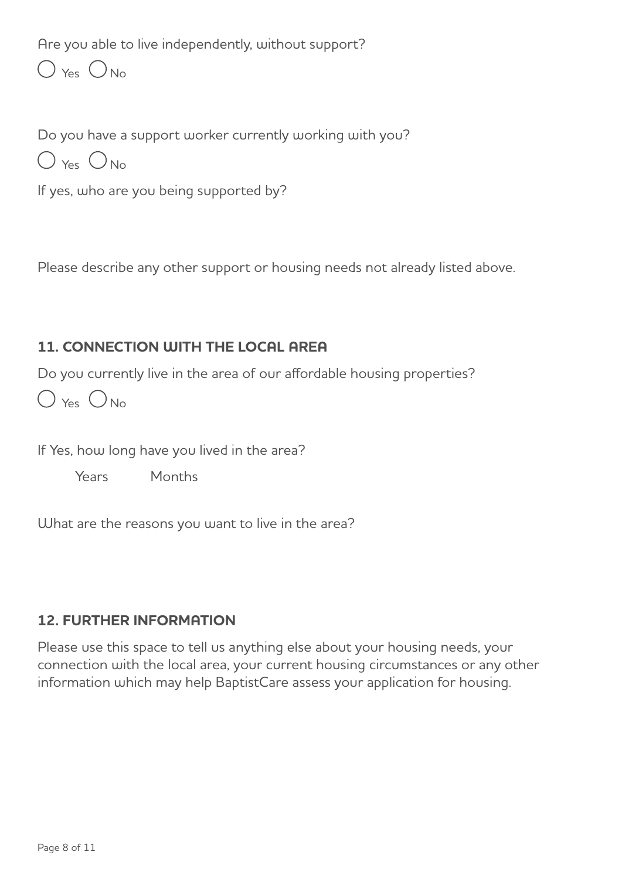Are you able to live independently, without support?

 $\bigcirc$  Yes  $\bigcirc$  No

Do you have a support worker currently working with you?

 $O$  Yes  $O_{No}$ 

If yes, who are you being supported by?

Please describe any other support or housing needs not already listed above.

# **11. CONNECTION WITH THE LOCAL AREA**

Do you currently live in the area of our affordable housing properties?

 $O$  Yes  $O$  No

If Yes, how long have you lived in the area?

Years Months

What are the reasons you want to live in the area?

# **12. FURTHER INFORMATION**

Please use this space to tell us anything else about your housing needs, your connection with the local area, your current housing circumstances or any other information which may help BaptistCare assess your application for housing.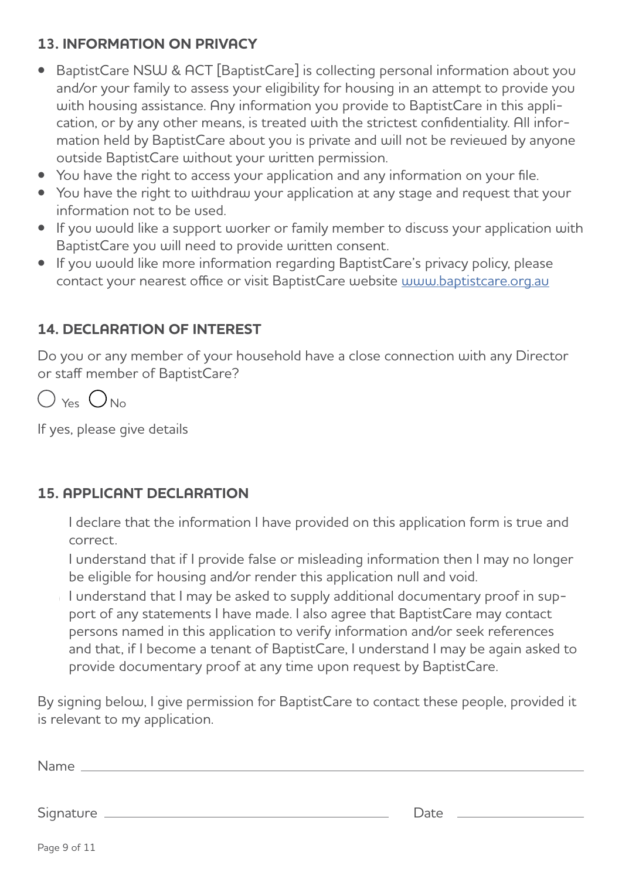# **13. INFORMATION ON PRIVACY**

- BaptistCare NSW & ACT [BaptistCare] is collecting personal information about you and/or your family to assess your eligibility for housing in an attempt to provide you with housing assistance. Any information you provide to BaptistCare in this application, or by any other means, is treated with the strictest confidentiality. All information held by BaptistCare about you is private and will not be reviewed by anyone outside BaptistCare without your written permission.
- You have the right to access your application and any information on your file.
- You have the right to withdraw your application at any stage and request that your information not to be used.
- If you would like a support worker or family member to discuss your application with BaptistCare you will need to provide written consent.
- If you would like more information regarding BaptistCare's privacy policy, please contact your nearest office or visit BaptistCare website [www.baptistcare.org.au](http://www.baptistcare.org.au)

# **14. DECLARATION OF INTEREST**

Do you or any member of your household have a close connection with any Director or staff member of BaptistCare?



If yes, please give details

## **15. APPLICANT DECLARATION**

I declare that the information I have provided on this application form is true and correct.

I understand that if I provide false or misleading information then I may no longer be eligible for housing and/or render this application null and void.

I understand that I may be asked to supply additional documentary proof in support of any statements I have made. I also agree that BaptistCare may contact persons named in this application to verify information and/or seek references and that, if I become a tenant of BaptistCare, I understand I may be again asked to provide documentary proof at any time upon request by BaptistCare.

By signing below, I give permission for BaptistCare to contact these people, provided it is relevant to my application.

| Name      |      |
|-----------|------|
|           |      |
| Signature | Date |
|           |      |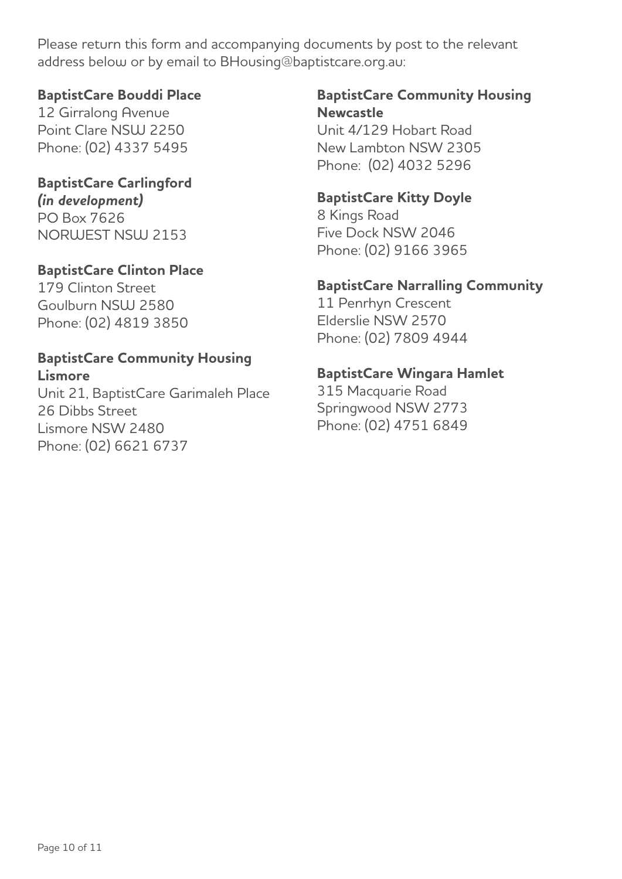Please return this form and accompanying documents by post to the relevant address below or by email to BHousing@baptistcare.org.au:

#### **BaptistCare Bouddi Place**

12 Girralong Avenue Point Clare NSW 2250 Phone: (02) 4337 5495

# **BaptistCare Carlingford**

*(in development)* PO Box 7626 NORWEST NSW 2153

## **BaptistCare Clinton Place**

179 Clinton Street Goulburn NSW 2580 Phone: (02) 4819 3850

#### **BaptistCare Community Housing Lismore**

Unit 21, BaptistCare Garimaleh Place 26 Dibbs Street Lismore NSW 2480 Phone: (02) 6621 6737

## **BaptistCare Community Housing Newcastle**

Unit 4/129 Hobart Road New Lambton NSW 2305 Phone: (02) 4032 5296

## **BaptistCare Kitty Doyle**

8 Kings Road Five Dock NSW 2046 Phone: (02) 9166 3965

# **BaptistCare Narralling Community**

11 Penrhyn Crescent Elderslie NSW 2570 Phone: (02) 7809 4944

## **BaptistCare Wingara Hamlet**

315 Macquarie Road Springwood NSW 2773 Phone: (02) 4751 6849